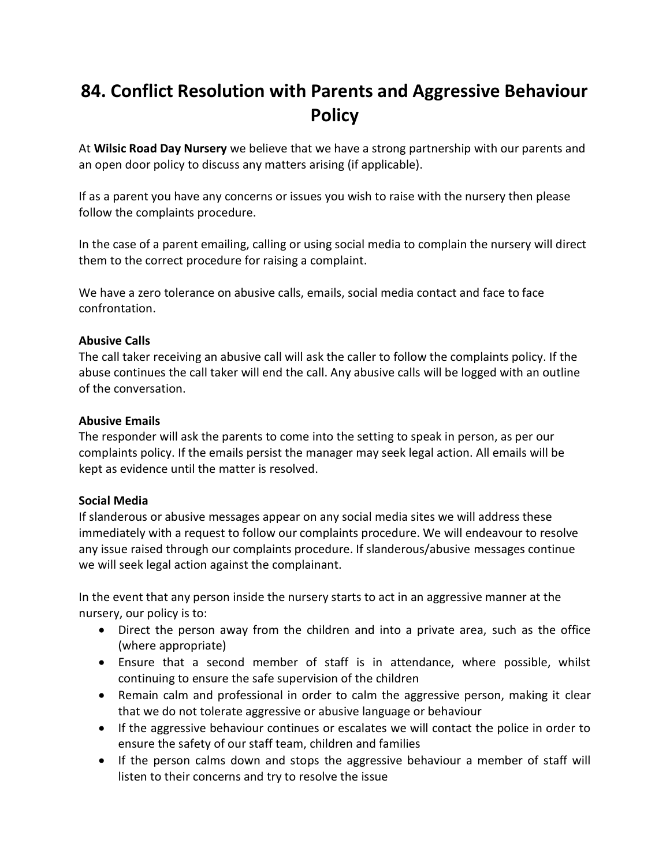## **84. Conflict Resolution with Parents and Aggressive Behaviour Policy**

At **Wilsic Road Day Nursery** we believe that we have a strong partnership with our parents and an open door policy to discuss any matters arising (if applicable).

If as a parent you have any concerns or issues you wish to raise with the nursery then please follow the complaints procedure.

In the case of a parent emailing, calling or using social media to complain the nursery will direct them to the correct procedure for raising a complaint.

We have a zero tolerance on abusive calls, emails, social media contact and face to face confrontation.

## **Abusive Calls**

The call taker receiving an abusive call will ask the caller to follow the complaints policy. If the abuse continues the call taker will end the call. Any abusive calls will be logged with an outline of the conversation.

## **Abusive Emails**

The responder will ask the parents to come into the setting to speak in person, as per our complaints policy. If the emails persist the manager may seek legal action. All emails will be kept as evidence until the matter is resolved.

## **Social Media**

If slanderous or abusive messages appear on any social media sites we will address these immediately with a request to follow our complaints procedure. We will endeavour to resolve any issue raised through our complaints procedure. If slanderous/abusive messages continue we will seek legal action against the complainant.

In the event that any person inside the nursery starts to act in an aggressive manner at the nursery, our policy is to:

- Direct the person away from the children and into a private area, such as the office (where appropriate)
- Ensure that a second member of staff is in attendance, where possible, whilst continuing to ensure the safe supervision of the children
- Remain calm and professional in order to calm the aggressive person, making it clear that we do not tolerate aggressive or abusive language or behaviour
- If the aggressive behaviour continues or escalates we will contact the police in order to ensure the safety of our staff team, children and families
- If the person calms down and stops the aggressive behaviour a member of staff will listen to their concerns and try to resolve the issue